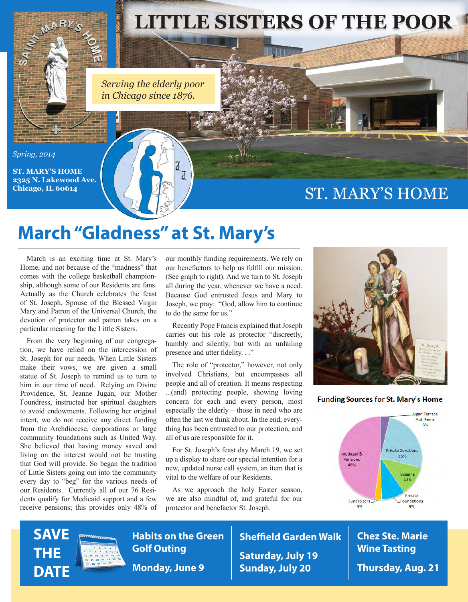

*Serving the elderly poor in Chicago since 1876.*

> J J

#### *Spring, 2014*

**ST. MARY'S HOME 2325 N. Lakewood Ave. Chicago, IL 60614**

### ST. MARY'S HOME

## **March "Gladness" at St. Mary's**

March is an exciting time at St. Mary's Home, and not because of the "madness" that comes with the college basketball championship, although some of our Residents are fans. Actually as the Church celebrates the feast of St. Joseph, Spouse of the Blessed Virgin Mary and Patron of the Universal Church, the devotion of protector and patron takes on a particular meaning for the Little Sisters.

From the very beginning of our congregation, we have relied on the intercession of St. Joseph for our needs. When Little Sisters make their vows, we are given a small statue of St. Joseph to remind us to turn to him in our time of need. Relying on Divine Providence, St. Jeanne Jugan, our Mother Foundress, instructed her spiritual daughters to avoid endowments. Following her original intent, we do not receive any direct funding from the Archdiocese, corporations or large community foundations such as United Way. She believed that having money saved and living on the interest would not be trusting that God will provide. So began the tradition of Little Sisters going out into the community every day to "beg" for the various needs of our Residents. Currently all of our 76 Residents qualify for Medicaid support and a few receive pensions; this provides only 48% of our monthly funding requirements. We rely on our benefactors to help us fulfill our mission. (See graph to right). And we turn to St. Joseph all during the year, whenever we have a need. Because God entrusted Jesus and Mary to Joseph, we pray: "God, allow him to continue to do the same for us."

Recently Pope Francis explained that Joseph carries out his role as protector "discreetly, humbly and silently, but with an unfailing presence and utter fidelity. . ."

The role of "protector," however, not only involved Christians, but encompasses all people and all of creation. It means respecting ...(and) protecting people, showing loving concern for each and every person, most especially the elderly – those in need who are often the last we think about. In the end, everything has been entrusted to our protection, and all of us are responsible for it.

For St. Joseph's feast day March 19, we set up a display to share our special intention for a new, updated nurse call system, an item that is vital to the welfare of our Residents.

As we approach the holy Easter season, we are also mindful of, and grateful for our protector and benefactor St. Joseph.



#### **Funding Sources for St. Mary's Home**







**Habits on the Green Golf Outing Monday, June 9**

**Sheffield Garden Walk Saturday, July 19 Sunday, July 20**

**Chez Ste. Marie Wine Tasting Thursday, Aug. 21**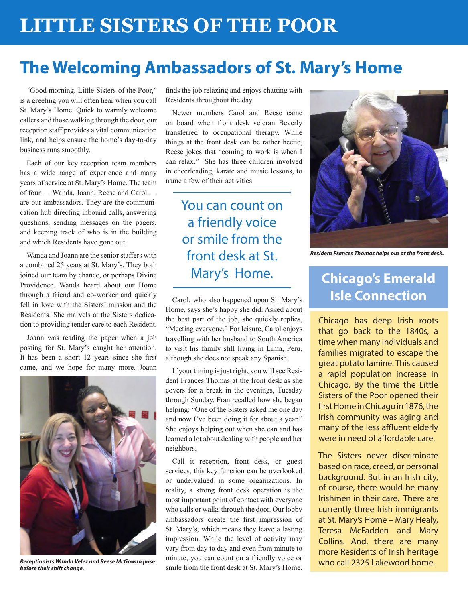# **The Welcoming Ambassadors of St. Mary's Home**

"Good morning, Little Sisters of the Poor," is a greeting you will often hear when you call St. Mary's Home. Quick to warmly welcome callers and those walking through the door, our reception staff provides a vital communication link, and helps ensure the home's day-to-day business runs smoothly.

Each of our key reception team members has a wide range of experience and many years of service at St. Mary's Home. The team of four — Wanda, Joann, Reese and Carol are our ambassadors. They are the communication hub directing inbound calls, answering questions, sending messages on the pagers, and keeping track of who is in the building and which Residents have gone out.

Wanda and Joann are the senior staffers with a combined 25 years at St. Mary's. They both joined our team by chance, or perhaps Divine Providence. Wanda heard about our Home through a friend and co-worker and quickly fell in love with the Sisters' mission and the Residents. She marvels at the Sisters dedication to providing tender care to each Resident.

Joann was reading the paper when a job posting for St. Mary's caught her attention. It has been a short 12 years since she first came, and we hope for many more. Joann



*Receptionists Wanda Velez and Reese McGowan pose before their shift change.*

finds the job relaxing and enjoys chatting with Residents throughout the day.

Newer members Carol and Reese came on board when front desk veteran Beverly transferred to occupational therapy. While things at the front desk can be rather hectic, Reese jokes that "coming to work is when I can relax." She has three children involved in cheerleading, karate and music lessons, to name a few of their activities.

### You can count on a friendly voice or smile from the front desk at St. Mary's Home.

Carol, who also happened upon St. Mary's Home, says she's happy she did. Asked about the best part of the job, she quickly replies, "Meeting everyone." For leisure, Carol enjoys travelling with her husband to South America to visit his family still living in Lima, Peru, although she does not speak any Spanish.

If your timing is just right, you will see Resident Frances Thomas at the front desk as she covers for a break in the evenings, Tuesday through Sunday. Fran recalled how she began helping: "One of the Sisters asked me one day and now I've been doing it for about a year." She enjoys helping out when she can and has learned a lot about dealing with people and her neighbors.

Call it reception, front desk, or guest services, this key function can be overlooked or undervalued in some organizations. In reality, a strong front desk operation is the most important point of contact with everyone who calls or walks through the door. Our lobby ambassadors create the first impression of St. Mary's, which means they leave a lasting impression. While the level of activity may vary from day to day and even from minute to minute, you can count on a friendly voice or smile from the front desk at St. Mary's Home.



*Resident Frances Thomas helps out at the front desk.*

### **Chicago's Emerald Isle Connection**

Chicago has deep Irish roots that go back to the 1840s, a time when many individuals and families migrated to escape the great potato famine. This caused a rapid population increase in Chicago. By the time the Little Sisters of the Poor opened their first Home in Chicago in 1876, the Irish community was aging and many of the less affluent elderly were in need of affordable care.

The Sisters never discriminate based on race, creed, or personal background. But in an Irish city, of course, there would be many Irishmen in their care. There are currently three Irish immigrants at St. Mary's Home – Mary Healy, Teresa McFadden and Mary Collins. And, there are many more Residents of Irish heritage who call 2325 Lakewood home.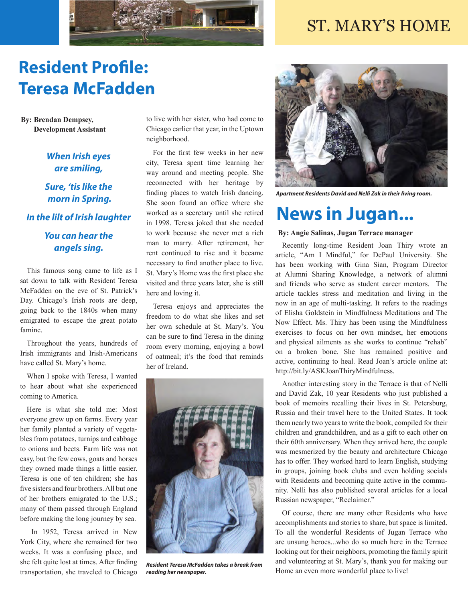### ST. MARY'S HOME



# **Resident Profile: Teresa McFadden**

**By: Brendan Dempsey, Development Assistant**

#### *When Irish eyes are smiling,*

### *Sure, 'tis like the morn in Spring.*

#### *In the lilt of Irish laughter*

### *You can hear the angels sing.*

This famous song came to life as I sat down to talk with Resident Teresa McFadden on the eve of St. Patrick's Day. Chicago's Irish roots are deep, going back to the 1840s when many emigrated to escape the great potato famine.

Throughout the years, hundreds of Irish immigrants and Irish-Americans have called St. Mary's home.

When I spoke with Teresa, I wanted to hear about what she experienced coming to America.

Here is what she told me: Most everyone grew up on farms. Every year her family planted a variety of vegetables from potatoes, turnips and cabbage to onions and beets. Farm life was not easy, but the few cows, goats and horses they owned made things a little easier. Teresa is one of ten children; she has five sisters and four brothers. All but one of her brothers emigrated to the U.S.; many of them passed through England before making the long journey by sea.

 In 1952, Teresa arrived in New York City, where she remained for two weeks. It was a confusing place, and she felt quite lost at times. After finding transportation, she traveled to Chicago

to live with her sister, who had come to Chicago earlier that year, in the Uptown neighborhood.

For the first few weeks in her new city, Teresa spent time learning her way around and meeting people. She reconnected with her heritage by finding places to watch Irish dancing. She soon found an office where she worked as a secretary until she retired in 1998. Teresa joked that she needed to work because she never met a rich man to marry. After retirement, her rent continued to rise and it became necessary to find another place to live. St. Mary's Home was the first place she visited and three years later, she is still here and loving it.

Teresa enjoys and appreciates the freedom to do what she likes and set her own schedule at St. Mary's. You can be sure to find Teresa in the dining room every morning, enjoying a bowl of oatmeal; it's the food that reminds her of Ireland.



*Resident Teresa McFadden takes a break from reading her newspaper.*



*Apartment Residents David and Nelli Zak in their living room.*

## **News in Jugan...**

#### **By: Angie Salinas, Jugan Terrace manager**

Recently long-time Resident Joan Thiry wrote an article, "Am I Mindful," for DePaul University. She has been working with Gina Sian, Program Director at Alumni Sharing Knowledge, a network of alumni and friends who serve as student career mentors. The article tackles stress and meditation and living in the now in an age of multi-tasking. It refers to the readings of Elisha Goldstein in Mindfulness Meditations and The Now Effect. Ms. Thiry has been using the Mindfulness exercises to focus on her own mindset, her emotions and physical ailments as she works to continue "rehab" on a broken bone. She has remained positive and active, continuing to heal. Read Joan's article online at: http://bit.ly/ASKJoanThiryMindfulness.

Another interesting story in the Terrace is that of Nelli and David Zak, 10 year Residents who just published a book of memoirs recalling their lives in St. Petersburg, Russia and their travel here to the United States. It took them nearly two years to write the book, compiled for their children and grandchildren, and as a gift to each other on their 60th anniversary. When they arrived here, the couple was mesmerized by the beauty and architecture Chicago has to offer. They worked hard to learn English, studying in groups, joining book clubs and even holding socials with Residents and becoming quite active in the community. Nelli has also published several articles for a local Russian newspaper, "Reclaimer."

Of course, there are many other Residents who have accomplishments and stories to share, but space is limited. To all the wonderful Residents of Jugan Terrace who are unsung heroes...who do so much here in the Terrace looking out for their neighbors, promoting the family spirit and volunteering at St. Mary's, thank you for making our Home an even more wonderful place to live!